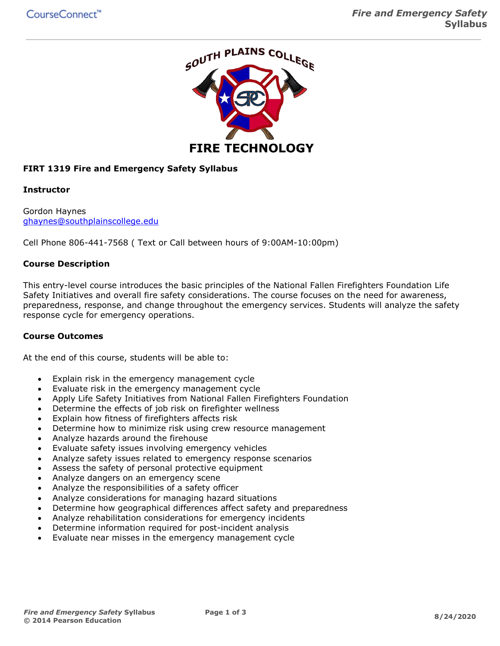

# **FIRT 1319 Fire and Emergency Safety Syllabus**

#### **Instructor**

Gordon Haynes [ghaynes@southplainscollege.edu](mailto:ghaynes@southplainscollege.edu)

Cell Phone 806-441-7568 ( Text or Call between hours of 9:00AM-10:00pm)

## **Course Description**

This entry-level course introduces the basic principles of the National Fallen Firefighters Foundation Life Safety Initiatives and overall fire safety considerations. The course focuses on the need for awareness, preparedness, response, and change throughout the emergency services. Students will analyze the safety response cycle for emergency operations.

#### **Course Outcomes**

At the end of this course, students will be able to:

- Explain risk in the emergency management cycle
- Evaluate risk in the emergency management cycle
- Apply Life Safety Initiatives from National Fallen Firefighters Foundation
- Determine the effects of job risk on firefighter wellness
- Explain how fitness of firefighters affects risk
- Determine how to minimize risk using crew resource management
- Analyze hazards around the firehouse
- Evaluate safety issues involving emergency vehicles
- Analyze safety issues related to emergency response scenarios
- Assess the safety of personal protective equipment
- Analyze dangers on an emergency scene
- Analyze the responsibilities of a safety officer
- Analyze considerations for managing hazard situations
- Determine how geographical differences affect safety and preparedness
- Analyze rehabilitation considerations for emergency incidents
- Determine information required for post-incident analysis
- Evaluate near misses in the emergency management cycle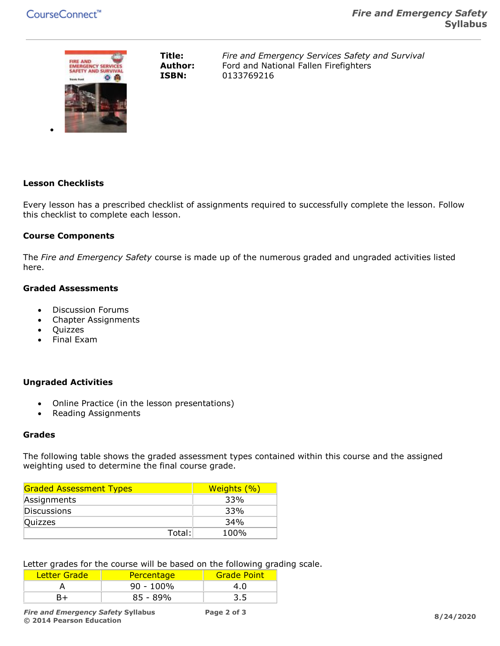

**Title:** *Fire and Emergency Services Safety and Survival* **Author:** Ford and National Fallen Firefighters **ISBN:** 0133769216

# **Lesson Checklists**

•

Every lesson has a prescribed checklist of assignments required to successfully complete the lesson. Follow this checklist to complete each lesson.

#### **Course Components**

The *Fire and Emergency Safety* course is made up of the numerous graded and ungraded activities listed here.

### **Graded Assessments**

- Discussion Forums
- Chapter Assignments
- Quizzes
- Final Exam

## **Ungraded Activities**

- Online Practice (in the lesson presentations)
- Reading Assignments

#### **Grades**

The following table shows the graded assessment types contained within this course and the assigned weighting used to determine the final course grade.

| <b>Graded Assessment Types</b> | Weights (%) |
|--------------------------------|-------------|
| Assignments                    | 33%         |
| Discussions                    | 33%         |
| Quizzes                        | 34%         |
| Total:                         | 100%        |

Letter grades for the course will be based on the following grading scale.

| Letter Grade | <b>Percentage</b> | <b>Grade Point</b> |
|--------------|-------------------|--------------------|
|              | $90 - 100\%$      | 4.0                |
|              | $85 - 89%$        |                    |